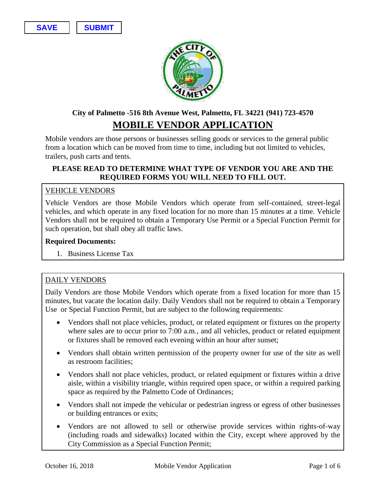**SAVE SUBMIT**



# **City of Palmetto -516 8th Avenue West, Palmetto, FL 34221 (941) 723-4570 MOBILE VENDOR APPLICATION**

Mobile vendors are those persons or businesses selling goods or services to the general public from a location which can be moved from time to time, including but not limited to vehicles, trailers, push carts and tents.

#### **PLEASE READ TO DETERMINE WHAT TYPE OF VENDOR YOU ARE AND THE REQUIRED FORMS YOU WILL NEED TO FILL OUT.**

#### VEHICLE VENDORS

Vehicle Vendors are those Mobile Vendors which operate from self-contained, street-legal vehicles, and which operate in any fixed location for no more than 15 minutes at a time. Vehicle Vendors shall not be required to obtain a Temporary Use Permit or a Special Function Permit for such operation, but shall obey all traffic laws.

#### **Required Documents:**

1. Business License Tax

#### DAILY VENDORS

Daily Vendors are those Mobile Vendors which operate from a fixed location for more than 15 minutes, but vacate the location daily. Daily Vendors shall not be required to obtain a Temporary Use or Special Function Permit, but are subject to the following requirements:

- Vendors shall not place vehicles, product, or related equipment or fixtures on the property where sales are to occur prior to 7:00 a.m., and all vehicles, product or related equipment or fixtures shall be removed each evening within an hour after sunset;
- Vendors shall obtain written permission of the property owner for use of the site as well as restroom facilities;
- Vendors shall not place vehicles, product, or related equipment or fixtures within a drive aisle, within a visibility triangle, within required open space, or within a required parking space as required by the Palmetto Code of Ordinances;
- Vendors shall not impede the vehicular or pedestrian ingress or egress of other businesses or building entrances or exits;
- Vendors are not allowed to sell or otherwise provide services within rights-of-way (including roads and sidewalks) located within the City, except where approved by the City Commission as a Special Function Permit;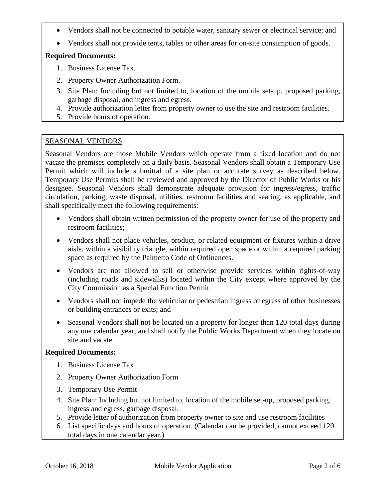- Vendors shall not be connected to potable water, sanitary sewer or electrical service; and
- Vendors shall not provide tents, tables or other areas for on-site consumption of goods.

### **Required Documents:**

- 1. Business License Tax.
- 2. Property Owner Authorization Form.
- 3. Site Plan: Including but not limited to, location of the mobile set-up, proposed parking, garbage disposal, and ingress and egress.
- 4. Provide authorization letter from property owner to use the site and restroom facilities.
- 5. Provide hours of operation.

## SEASONAL VENDORS

Seasonal Vendors are those Mobile Vendors which operate from a fixed location and do not vacate the premises completely on a daily basis. Seasonal Vendors shall obtain a Temporary Use Permit which will include submittal of a site plan or accurate survey as described below. Temporary Use Permits shall be reviewed and approved by the Director of Public Works or his designee. Seasonal Vendors shall demonstrate adequate provision for ingress/egress, traffic circulation, parking, waste disposal, utilities, restroom facilities and seating, as applicable, and shall specifically meet the following requirements:

- Vendors shall obtain written permission of the property owner for use of the property and restroom facilities;
- Vendors shall not place vehicles, product, or related equipment or fixtures within a drive aisle, within a visibility triangle, within required open space or within a required parking space as required by the Palmetto Code of Ordinances.
- Vendors are not allowed to sell or otherwise provide services within rights-of-way (including roads and sidewalks) located within the City except where approved by the City Commission as a Special Function Permit.
- Vendors shall not impede the vehicular or pedestrian ingress or egress of other businesses or building entrances or exits; and
- Seasonal Vendors shall not be located on a property for longer than 120 total days during any one calendar year, and shall notify the Public Works Department when they locate on site and vacate.

#### **Required Documents:**

- 1. Business License Tax
- 2. Property Owner Authorization Form
- 3. Temporary Use Permit
- 4. Site Plan: Including but not limited to, location of the mobile set-up, proposed parking, ingress and egress, garbage disposal.
- 5. Provide letter of authorization from property owner to site and use restroom facilities
- 6. List specific days and hours of operation. (Calendar can be provided, cannot exceed 120 total days in one calendar year.)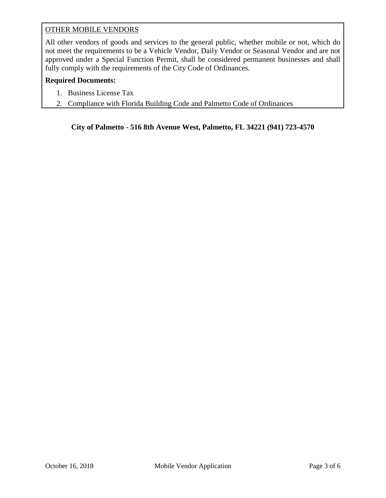## OTHER MOBILE VENDORS

All other vendors of goods and services to the general public, whether mobile or not, which do not meet the requirements to be a Vehicle Vendor, Daily Vendor or Seasonal Vendor and are not approved under a Special Function Permit, shall be considered permanent businesses and shall fully comply with the requirements of the City Code of Ordinances.

#### **Required Documents:**

- 1. Business License Tax
- 2. Compliance with Florida Building Code and Palmetto Code of Ordinances

**City of Palmetto - 516 8th Avenue West, Palmetto, FL 34221 (941) 723-4570**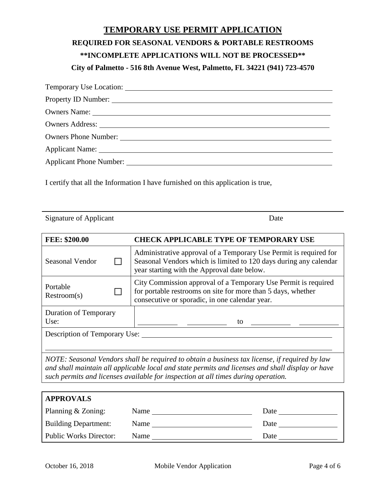# **TEMPORARY USE PERMIT APPLICATION REQUIRED FOR SEASONAL VENDORS & PORTABLE RESTROOMS \*\*INCOMPLETE APPLICATIONS WILL NOT BE PROCESSED\*\* City of Palmetto - 516 8th Avenue West, Palmetto, FL 34221 (941) 723-4570**

| Owners Name: 2008. [2016] Decree Manual Assembly Decree Manual Assembly Decree Manual Assembly Decree Manual Assembly Decree Manual Assembly Decree Manual Assembly Decree Manual Assembly Decree Manual Assembly Decree Manua |
|--------------------------------------------------------------------------------------------------------------------------------------------------------------------------------------------------------------------------------|
|                                                                                                                                                                                                                                |
| Owners Phone Number:                                                                                                                                                                                                           |
|                                                                                                                                                                                                                                |
|                                                                                                                                                                                                                                |

I certify that all the Information I have furnished on this application is true,

Signature of Applicant Date

| FEE: \$200.00                        |  | <b>CHECK APPLICABLE TYPE OF TEMPORARY USE</b>                                                                                                                                                                                                                                          |  |  |  |
|--------------------------------------|--|----------------------------------------------------------------------------------------------------------------------------------------------------------------------------------------------------------------------------------------------------------------------------------------|--|--|--|
| Seasonal Vendor                      |  | Administrative approval of a Temporary Use Permit is required for<br>Seasonal Vendors which is limited to 120 days during any calendar<br>year starting with the Approval date below.                                                                                                  |  |  |  |
| Portable<br>Restroom(s)              |  | City Commission approval of a Temporary Use Permit is required<br>for portable restrooms on site for more than 5 days, whether<br>consecutive or sporadic, in one calendar year.                                                                                                       |  |  |  |
| <b>Duration of Temporary</b><br>Use: |  | to                                                                                                                                                                                                                                                                                     |  |  |  |
| Description of Temporary Use:        |  |                                                                                                                                                                                                                                                                                        |  |  |  |
|                                      |  | NOTE: Seasonal Vendors shall be required to obtain a business tax license, if required by law<br>and shall maintain all applicable local and state permits and licenses and shall display or have<br>such permits and licenses available for inspection at all times during operation. |  |  |  |

| <b>APPROVALS</b>              |      |      |
|-------------------------------|------|------|
| Planning & Zoning:            | Name | Date |
| <b>Building Department:</b>   | Name | Date |
| <b>Public Works Director:</b> | Name | Date |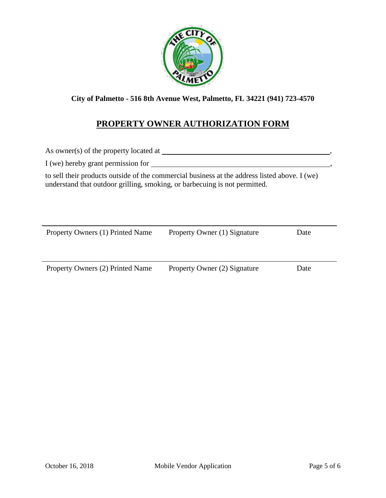

**City of Palmetto - 516 8th Avenue West, Palmetto, FL 34221 (941) 723-4570**

## **PROPERTY OWNER AUTHORIZATION FORM**

As owner(s) of the property located at , I (we) hereby grant permission for  $\overline{\phantom{a}}$ 

to sell their products outside of the commercial business at the address listed above. I (we) understand that outdoor grilling, smoking, or barbecuing is not permitted.

| Property Owners (1) Printed Name | Property Owner (1) Signature | Date |
|----------------------------------|------------------------------|------|
|                                  |                              |      |

Property Owners (2) Printed Name Property Owner (2) Signature Date